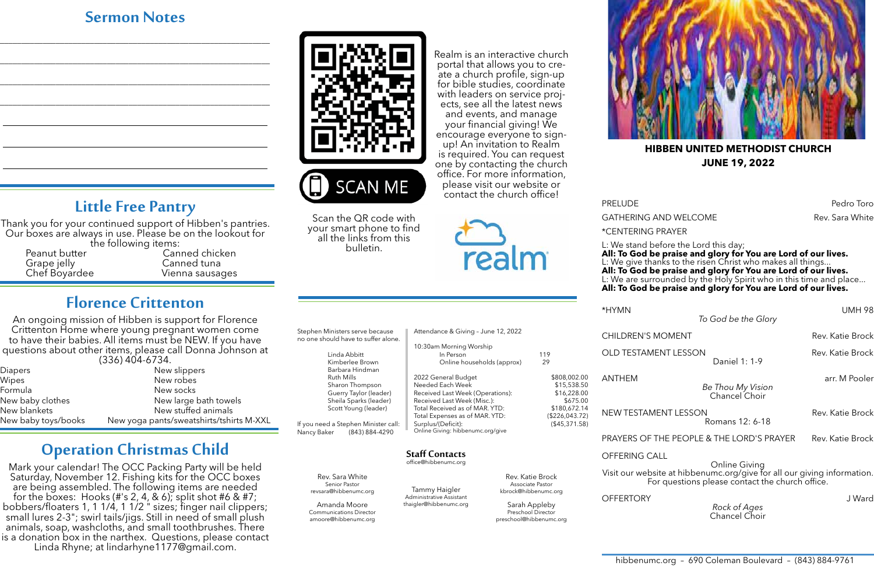\*CENTERING PRAYER

L: We stand before the Lord this day; **All: To God be praise and glory for You are Lord of our lives.** L: We give thanks to the risen Christ who makes all things... **All: To God be praise and glory for You are Lord of our lives.** L: We are surrounded by the Holy Spirit who in this time and place... **All: To God be praise and glory for You are Lord of our lives.** 

\*HYMN UMH 98

*To God be the Glory*

Thank you for your continued support of Hibben's pantries. Our boxes are always in use. Please be on the lookout for<br>the following items:

*Rock of Ages* Chancel Choir

PRELUDE PRELUDE GATHERING AND WELCOME **Rev. Sara White** Rev. Sara White

## **Sermon Notes**

\_\_\_\_\_\_\_\_\_\_\_\_\_\_\_\_\_\_\_\_\_\_\_\_\_\_\_\_\_\_\_\_\_\_\_\_\_\_\_\_\_\_\_\_\_\_\_\_\_\_\_\_\_\_\_\_\_\_\_\_\_\_\_

\_\_\_\_\_\_\_\_\_\_\_\_\_\_\_\_\_\_\_\_\_\_\_\_\_\_\_\_\_\_\_\_\_\_\_\_\_\_\_\_\_\_\_\_\_\_\_\_\_\_\_\_\_\_\_\_\_\_\_\_\_\_\_

\_\_\_\_\_\_\_\_\_\_\_\_\_\_\_\_\_\_\_\_\_\_\_\_\_\_\_\_\_\_\_\_\_\_\_\_\_\_\_\_\_\_\_\_\_\_\_\_\_\_\_\_\_\_\_\_\_\_\_\_\_\_\_

\_\_\_\_\_\_\_\_\_\_\_\_\_\_\_\_\_\_\_\_\_\_\_\_\_\_\_\_\_\_\_\_\_\_\_\_\_\_\_\_\_\_\_\_\_\_\_\_\_\_\_\_\_\_\_\_\_\_\_\_\_\_\_



**SCAN ME** 

# **Little Free Pantry**

Grape jelly Canned tuna

Peanut butter Canned chicken<br>
Grape jelly Canned tuna Vienna sausages

## **Florence Crittenton**

An ongoing mission of Hibben is support for Florence Crittenton Home where young pregnant women come to have their babies. All items must be NEW. If you have questions about other items, please call Donna Johnson at (336) 404-6734.

| <b>Diapers</b>      | New slippers                             |  |  |
|---------------------|------------------------------------------|--|--|
| Wipes               | New robes                                |  |  |
| Formula             | New socks                                |  |  |
| New baby clothes    | New large bath towels                    |  |  |
| New blankets        | New stuffed animals                      |  |  |
| New baby toys/books | New yoga pants/sweatshirts/tshirts M-XXL |  |  |

## **Operation Christmas Child**

for bible studies, coordinate with leaders on service projects, see all the latest news and events, and manage your financial giving! We encourage everyone to signup! An invitation to Realm is required. You can request one by contacting the church office. For more information, please visit our website or contact the church office!

| Stephen Ministers serve because<br>no one should have to suffer alone.                                                                                                                                                       | Attendance & Giving - June 12, 2022                                                                        |                                                             | <b>CHILDREN'S MOMENT</b>                                                                                                   | Rev. Katie Brock                                    |
|------------------------------------------------------------------------------------------------------------------------------------------------------------------------------------------------------------------------------|------------------------------------------------------------------------------------------------------------|-------------------------------------------------------------|----------------------------------------------------------------------------------------------------------------------------|-----------------------------------------------------|
| Linda Abbitt<br>Kimberlee Brown<br>Barbara Hindman                                                                                                                                                                           | 10:30am Morning Worship<br>In Person<br>Online households (approx)                                         | 119<br>29                                                   | <b>OLD TESTAMENT LESSON</b>                                                                                                | Rev. Katie Brock<br>Daniel 1: 1-9                   |
| Ruth Mills<br>Sharon Thompson<br>Guerry Taylor (leader)<br>Sheila Sparks (leader)                                                                                                                                            | 2022 General Budget<br>Needed Each Week<br>Received Last Week (Operations):<br>Received Last Week (Misc.): | \$808,002.00<br>\$15,538.50<br>\$16,228.00<br>\$675.00      | <b>ANTHEM</b>                                                                                                              | arr. M Pooler<br>Be Thou My Vision<br>Chancel Choir |
| Total Received as of MAR. YTD:<br>Scott Young (leader)<br>Total Expenses as of MAR. YTD:<br>If you need a Stephen Minister call:<br>Surplus/(Deficit):<br>Online Giving: hibbenumc.org/give<br>(843) 884-4290<br>Nancy Baker | \$180,672.14<br>(\$226,043.72)<br>(\$45,371.58)                                                            | NEW TESTAMENT LESSON                                        | Rev. Katie Brock<br>Romans 12: 6-18                                                                                        |                                                     |
|                                                                                                                                                                                                                              |                                                                                                            |                                                             | PRAYERS OF THE PEOPLE & THE LORD'S PRAYER                                                                                  | Rev. Katie Brock                                    |
|                                                                                                                                                                                                                              | <b>Staff Contacts</b><br>office@hibbenumc.org                                                              |                                                             | <b>OFFERING CALL</b>                                                                                                       | <b>Online Giving</b>                                |
| Rev. Sara White<br>Senior Pastor                                                                                                                                                                                             | Tammy Haigler                                                                                              | Rev. Katie Brock<br>Associate Pastor                        | Visit our website at hibbenumc.org/give for all our giving information.<br>For questions please contact the church office. |                                                     |
| revsara@hibbenumc.org<br>Administrative Assistant<br>Amanda Moore<br>thaigler@hibbenumc.org<br><b>Communications Director</b>                                                                                                |                                                                                                            | kbrock@hibbenumc.org<br>Sarah Appleby<br>Preschool Director | <b>OFFERTORY</b>                                                                                                           | J Ward<br>Rock of Ages<br>Chancel Choir             |

Mark your calendar! The OCC Packing Party will be held Saturday, November 12. Fishing kits for the OCC boxes are being assembled. The following items are needed for the boxes: Hooks (#'s 2, 4, & 6); split shot #6 & #7; bobbers/floaters 1, 1 1/4, 1 1/2 " sizes; finger nail clippers; small lures 2-3"; swirl tails/jigs. Still in need of small plush animals, soap, washcloths, and small toothbrushes. There is a donation box in the narthex. Questions, please contact Linda Rhyne; at lindarhyne1177@gmail.com.

preschool@hibbenumc.org

amoore@hibbenumc.org

Realm is an interactive church portal that allows you to create a church profile, sign-up





Scan the QR code with your smart phone to find all the links from this bulletin.



#### **HIBBEN UNITED METHODIST CHURCH JUNE 19, 2022**